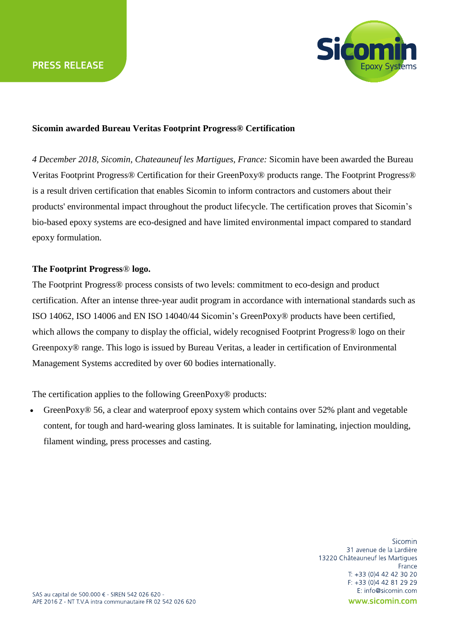

## **Sicomin awarded Bureau Veritas Footprint Progress® Certification**

*4 December 2018, Sicomin, Chateauneuf les Martigues, France:* Sicomin have been awarded the Bureau Veritas Footprint Progress® Certification for their GreenPoxy® products range. The Footprint Progress® is a result driven certification that enables Sicomin to inform contractors and customers about their products' environmental impact throughout the product lifecycle. The certification proves that Sicomin's bio-based epoxy systems are eco-designed and have limited environmental impact compared to standard epoxy formulation.

## **The Footprint Progress**® **logo.**

The Footprint Progress® process consists of two levels: commitment to eco-design and product certification. After an intense three-year audit program in accordance with international standards such as ISO 14062, ISO 14006 and EN ISO 14040/44 Sicomin's GreenPoxy® products have been certified, which allows the company to display the official, widely recognised Footprint Progress® logo on their Greenpoxy® range. This logo is issued by Bureau Veritas, a leader in certification of Environmental Management Systems accredited by over 60 bodies internationally.

The certification applies to the following GreenPoxy<sup>®</sup> products:

GreenPoxy<sup> $\circledcirc$ </sup> 56, a clear and waterproof epoxy system which contains over 52% plant and vegetable content, for tough and hard-wearing gloss laminates. It is suitable for laminating, injection moulding, filament winding, press processes and casting.

> Sicomin 31 avenue de la Lardière 13220 Châteauneuf les Martigues France T: +33 (0)4 42 42 30 20 F: +33 (0)4 42 81 29 29 E: info@sicomin.com www.sicomin.com